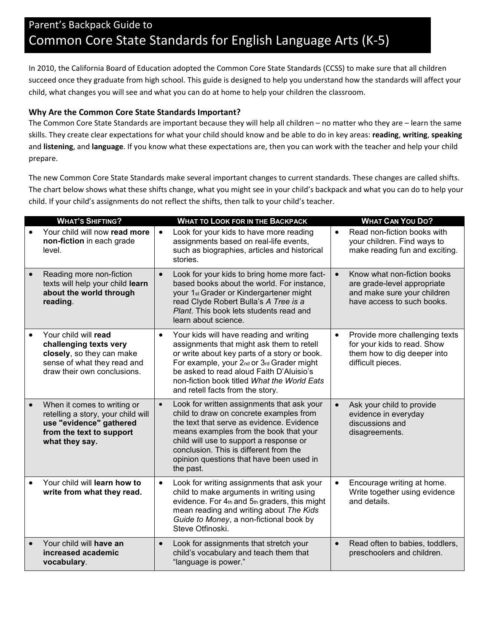## Parent's Backpack Guide to Common Core State Standards for English Language Arts (K-5)

In 2010, the California Board of Education adopted the Common Core State Standards (CCSS) to make sure that all children succeed once they graduate from high school. This guide is designed to help you understand how the standards will affect your child, what changes you will see and what you can do at home to help your children the classroom.

#### **Why Are the Common Core State Standards Important?**

The Common Core State Standards are important because they will help all children – no matter who they are – learn the same skills. They create clear expectations for what your child should know and be able to do in key areas: **reading**, **writing**, **speaking**  and **listening**, and **language**. If you know what these expectations are, then you can work with the teacher and help your child prepare.

The new Common Core State Standards make several important changes to current standards. These changes are called shifts. The chart below shows what these shifts change, what you might see in your child's backpack and what you can do to help your child. If your child's assignments do not reflect the shifts, then talk to your child's teacher.

|           | <b>WHAT'S SHIFTING?</b>                                                                                                                    | <b>WHAT TO LOOK FOR IN THE BACKPACK</b>                                                                                                                                                                                                                                                                                                 | <b>WHAT CAN YOU DO?</b>                                                                                                              |
|-----------|--------------------------------------------------------------------------------------------------------------------------------------------|-----------------------------------------------------------------------------------------------------------------------------------------------------------------------------------------------------------------------------------------------------------------------------------------------------------------------------------------|--------------------------------------------------------------------------------------------------------------------------------------|
| $\bullet$ | Your child will now read more<br>non-fiction in each grade<br>level.                                                                       | $\bullet$<br>Look for your kids to have more reading<br>assignments based on real-life events,<br>such as biographies, articles and historical<br>stories.                                                                                                                                                                              | Read non-fiction books with<br>$\bullet$<br>your children. Find ways to<br>make reading fun and exciting.                            |
| $\bullet$ | Reading more non-fiction<br>texts will help your child learn<br>about the world through<br>reading.                                        | Look for your kids to bring home more fact-<br>$\bullet$<br>based books about the world. For instance,<br>your 1 <sub>st</sub> Grader or Kindergartener might<br>read Clyde Robert Bulla's A Tree is a<br>Plant. This book lets students read and<br>learn about science.                                                               | Know what non-fiction books<br>$\bullet$<br>are grade-level appropriate<br>and make sure your children<br>have access to such books. |
|           | Your child will read<br>challenging texts very<br>closely, so they can make<br>sense of what they read and<br>draw their own conclusions.  | Your kids will have reading and writing<br>$\bullet$<br>assignments that might ask them to retell<br>or write about key parts of a story or book.<br>For example, your 2nd or 3rd Grader might<br>be asked to read aloud Faith D'Aluisio's<br>non-fiction book titled What the World Eats<br>and retell facts from the story.           | Provide more challenging texts<br>$\bullet$<br>for your kids to read. Show<br>them how to dig deeper into<br>difficult pieces.       |
|           | When it comes to writing or<br>retelling a story, your child will<br>use "evidence" gathered<br>from the text to support<br>what they say. | Look for written assignments that ask your<br>$\bullet$<br>child to draw on concrete examples from<br>the text that serve as evidence. Evidence<br>means examples from the book that your<br>child will use to support a response or<br>conclusion. This is different from the<br>opinion questions that have been used in<br>the past. | Ask your child to provide<br>$\bullet$<br>evidence in everyday<br>discussions and<br>disagreements.                                  |
| $\bullet$ | Your child will learn how to<br>write from what they read.                                                                                 | Look for writing assignments that ask your<br>$\bullet$<br>child to make arguments in writing using<br>evidence. For 4th and 5th graders, this might<br>mean reading and writing about The Kids<br>Guide to Money, a non-fictional book by<br>Steve Otfinoski.                                                                          | Encourage writing at home.<br>$\bullet$<br>Write together using evidence<br>and details.                                             |
|           | Your child will have an<br>increased academic<br>vocabulary.                                                                               | Look for assignments that stretch your<br>child's vocabulary and teach them that<br>"language is power."                                                                                                                                                                                                                                | Read often to babies, toddlers,<br>$\bullet$<br>preschoolers and children.                                                           |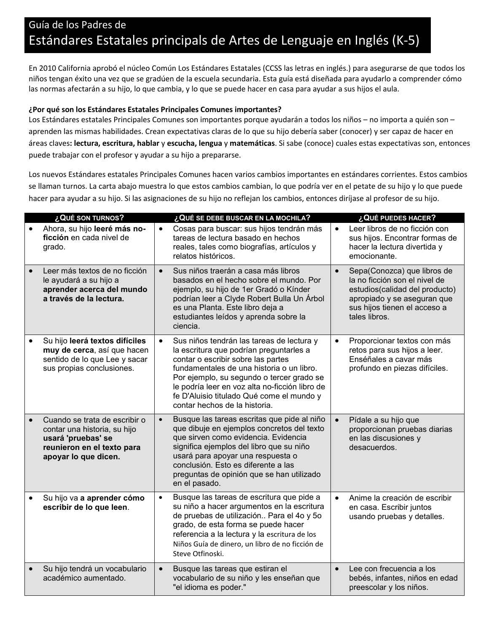## Guía de los Padres de Estándares Estatales principals de Artes de Lenguaje en Inglés (K-5)

En 2010 California aprobó el núcleo Común Los Estándares Estatales (CCSS las letras en inglés.) para asegurarse de que todos los niños tengan éxito una vez que se gradúen de la escuela secundaria. Esta guía está diseñada para ayudarlo a comprender cómo las normas afectarán a su hijo, lo que cambia, y lo que se puede hacer en casa para ayudar a sus hijos el aula.

#### **¿Por qué son los Estándares Estatales Principales Comunes importantes?**

Los Estándares estatales Principales Comunes son importantes porque ayudarán a todos los niños – no importa a quién son – aprenden las mismas habilidades. Crean expectativas claras de lo que su hijo debería saber (conocer) y ser capaz de hacer en áreas claves**: lectura, escritura, hablar** y **escucha, lengua** y **matemáticas**. Si sabe (conoce) cuales estas expectativas son, entonces puede trabajar con el profesor y ayudar a su hijo a prepararse.

Los nuevos Estándares estatales Principales Comunes hacen varios cambios importantes en estándares corrientes. Estos cambios se llaman turnos. La carta abajo muestra lo que estos cambios cambian, lo que podría ver en el petate de su hijo y lo que puede hacer para ayudar a su hijo. Si las asignaciones de su hijo no reflejan los cambios, entonces diríjase al profesor de su hijo.

|           | ¿QUÉ SON TURNOS?                                                                                                                          |           | ¿QUÉ SE DEBE BUSCAR EN LA MOCHILA?                                                                                                                                                                                                                                                                                                                   |           | ¿QUÉ PUEDES HACER?                                                                                                                                                             |
|-----------|-------------------------------------------------------------------------------------------------------------------------------------------|-----------|------------------------------------------------------------------------------------------------------------------------------------------------------------------------------------------------------------------------------------------------------------------------------------------------------------------------------------------------------|-----------|--------------------------------------------------------------------------------------------------------------------------------------------------------------------------------|
| $\bullet$ | Ahora, su hijo leeré más no-<br>ficción en cada nivel de<br>grado.                                                                        | $\bullet$ | Cosas para buscar: sus hijos tendrán más<br>tareas de lectura basado en hechos<br>reales, tales como biografías, artículos y<br>relatos históricos.                                                                                                                                                                                                  | $\bullet$ | Leer libros de no ficción con<br>sus hijos. Encontrar formas de<br>hacer la lectura divertida y<br>emocionante.                                                                |
|           | Leer más textos de no ficción<br>le ayudará a su hijo a<br>aprender acerca del mundo<br>a través de la lectura.                           | $\bullet$ | Sus niños traerán a casa más libros<br>basados en el hecho sobre el mundo. Por<br>ejemplo, su hijo de 1er Gradó o Kínder<br>podrían leer a Clyde Robert Bulla Un Árbol<br>es una Planta. Este libro deja a<br>estudiantes leídos y aprenda sobre la<br>ciencia.                                                                                      | $\bullet$ | Sepa(Conozca) que libros de<br>la no ficción son el nivel de<br>estudios(calidad del producto)<br>apropiado y se aseguran que<br>sus hijos tienen el acceso a<br>tales libros. |
| $\bullet$ | Su hijo leerá textos difíciles<br>muy de cerca, así que hacen<br>sentido de lo que Lee y sacar<br>sus propias conclusiones.               | $\bullet$ | Sus niños tendrán las tareas de lectura y<br>la escritura que podrían preguntarles a<br>contar o escribir sobre las partes<br>fundamentales de una historia o un libro.<br>Por ejemplo, su segundo o tercer grado se<br>le podría leer en voz alta no-ficción libro de<br>fe D'Aluisio titulado Qué come el mundo y<br>contar hechos de la historia. | $\bullet$ | Proporcionar textos con más<br>retos para sus hijos a leer.<br>Enséñales a cavar más<br>profundo en piezas difíciles.                                                          |
|           | Cuando se trata de escribir o<br>contar una historia, su hijo<br>usará 'pruebas' se<br>reunieron en el texto para<br>apoyar lo que dicen. | $\bullet$ | Busque las tareas escritas que pide al niño<br>que dibuje en ejemplos concretos del texto<br>que sirven como evidencia. Evidencia<br>significa ejemplos del libro que su niño<br>usará para apoyar una respuesta o<br>conclusión. Esto es diferente a las<br>preguntas de opinión que se han utilizado<br>en el pasado.                              | $\bullet$ | Pídale a su hijo que<br>proporcionan pruebas diarias<br>en las discusiones y<br>desacuerdos.                                                                                   |
| $\bullet$ | Su hijo va a aprender cómo<br>escribir de lo que leen.                                                                                    | $\bullet$ | Busque las tareas de escritura que pide a<br>su niño a hacer argumentos en la escritura<br>de pruebas de utilización Para el 40 y 50<br>grado, de esta forma se puede hacer<br>referencia a la lectura y la escritura de los<br>Niños Guía de dinero, un libro de no ficción de<br>Steve Otfinoski.                                                  | $\bullet$ | Anime la creación de escribir<br>en casa. Escribir juntos<br>usando pruebas y detalles.                                                                                        |
|           | Su hijo tendrá un vocabulario<br>académico aumentado.                                                                                     | $\bullet$ | Busque las tareas que estiran el<br>vocabulario de su niño y les enseñan que<br>"el idioma es poder."                                                                                                                                                                                                                                                | $\bullet$ | Lee con frecuencia a los<br>bebés, infantes, niños en edad<br>preescolar y los niños.                                                                                          |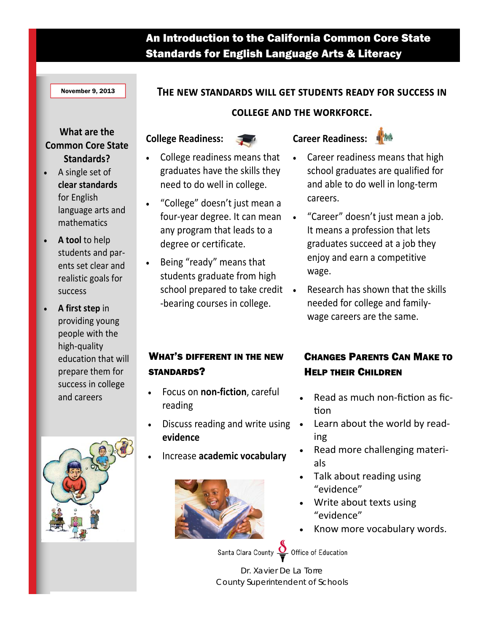## An Introduction to the California Common Core State Standards for English Language Arts & Literacy

November 9, 2013

#### THE NEW STANDARDS WILL GET STUDENTS READY FOR SUCCESS IN

**COLLEGE AND THE WORKFORCE.** 

### **What are the Common Core State Standards?**

- A single set of **clear standards** for English language arts and mathematics
- **A tool** to help students and par‐ ents set clear and realistic goals for success
- **A first step** in providing young people with the high‐quality education that will prepare them for success in college and careers





 College readiness means that graduates have the skills they need to do well in college.

**College Readiness:**

- "College" doesn't just mean a four‐year degree. It can mean any program that leads to a degree or certificate.
- Being "ready" means that students graduate from high school prepared to take credit • ‐bearing courses in college.

### WHAT'S DIFFERENT IN THE NEW STANDARDS?

- Focus on **non‐fiction**, careful reading
- Discuss reading and write using **evidence**
- Increase **academic vocabulary**



- Career readiness means that high school graduates are qualified for and able to do well in long‐term careers.
- "Career" doesn't just mean a job. It means a profession that lets graduates succeed at a job they enjoy and earn a competitive wage.
- Research has shown that the skills needed for college and family‐ wage careers are the same.

## CHANGES PARENTS CAN MAKE TO HELP THEIR CHILDREN

- Read as much non-fiction as fiction
- Learn about the world by read‐ ing
- Read more challenging materi‐ als
- Talk about reading using "evidence"
- Write about texts using "evidence"
- Know more vocabulary words.

Santa Clara County Office of Education

Dr. Xavier De La Torre County Superintendent of Schools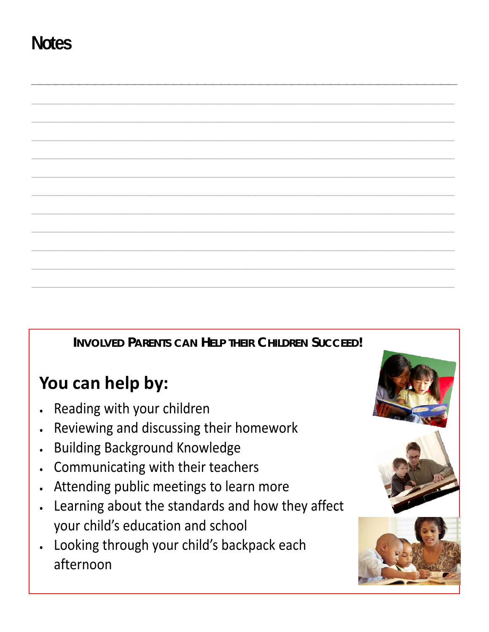# **Notes**



## You can help by:

- Reading with your children
- Reviewing and discussing their homework
- **Building Background Knowledge**
- Communicating with their teachers  $\bullet$
- Attending public meetings to learn more
- Learning about the standards and how they affect your child's education and school
- Looking through your child's backpack each afternoon

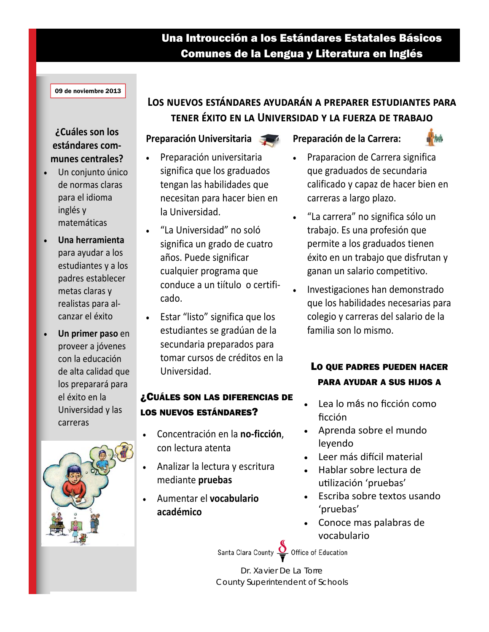## Una Introucción a los Estándares Estatales Básicos Comunes de la Lengua y Literatura en Inglés

#### 09 de noviembre 2013

### ¿Cuáles son los estándares communes centrales?

- Un conjunto único de normas claras para el idioma inglés y matemáticas
- Una herramienta para ayudar a los estudiantes y a los padres establecer metas claras y realistas para alcanzar el éxito
- Un primer paso en proveer a jóvenes con la educación de alta calidad que los preparará para el éxito en la Universidad y las carreras



## LOS NUEVOS ESTÁNDARES AYUDARÁN A PREPARER ESTUDIANTES PARA TENER ÉXITO EN LA UNIVERSIDAD Y LA FUERZA DE TRABAJO

#### **Preparación Universitaria**

- Preparación universitaria  $\bullet$ significa que los graduados tengan las habilidades que necesitan para hacer bien en la Universidad.
- "La Universidad" no soló significa un grado de cuatro años. Puede significar cualquier programa que conduce a un tiítulo o certificado.
- $\bullet$ Estar "listo" significa que los estudiantes se gradúan de la secundaria preparados para tomar cursos de créditos en la Universidad.

#### ¿CUÁLES SON LAS DIFERENCIAS DE **LOS NUEVOS ESTÁNDARES?**

- Concentración en la no-ficción,  $\bullet$ con lectura atenta
- Analizar la lectura y escritura mediante pruebas
- Aumentar el vocabulario académico

#### Preparación de la Carrera:



- Praparacion de Carrera significa que graduados de secundaria calificado y capaz de hacer bien en carreras a largo plazo.
- "La carrera" no significa sólo un trabajo. Es una profesión que permite a los graduados tienen éxito en un trabajo que disfrutan y ganan un salario competitivo.
- Investigaciones han demonstrado que los habilidades necesarias para colegio y carreras del salario de la familia son lo mismo.

### LO QUE PADRES PUEDEN HACER **PARA AYUDAR A SUS HIJOS A**

- Lea lo más no ficción como ficción
- Aprenda sobre el mundo leyendo
- Leer más difícil material
- Hablar sobre lectura de utilización 'pruebas'
- Escriba sobre textos usando 'pruebas'
- Conoce mas palabras de vocabulario

Santa Clara County Office of Education

Dr. Xavier De La Torre County Superintendent of Schools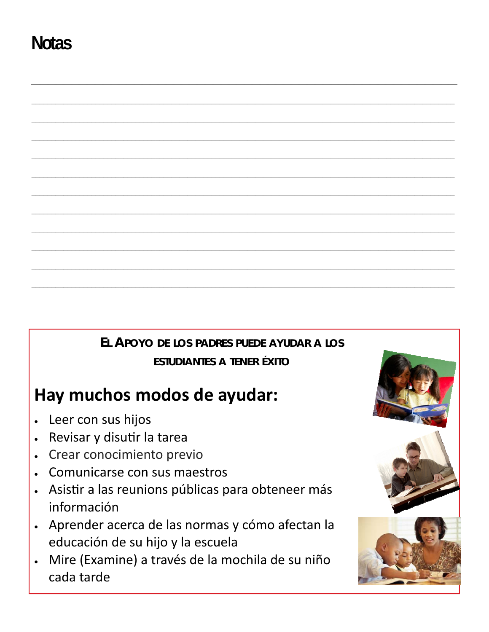# **Notas**



## Hay muchos modos de ayudar:

- Leer con sus hijos  $\bullet$
- Revisar y disutir la tarea  $\bullet$
- Crear conocimiento previo  $\bullet$
- Comunicarse con sus maestros
- Asistir a las reunions públicas para obteneer más  $\bullet$ información
- Aprender acerca de las normas y cómo afectan la  $\bullet$ educación de su hijo y la escuela
- Mire (Examine) a través de la mochila de su niño  $\bullet$ cada tarde

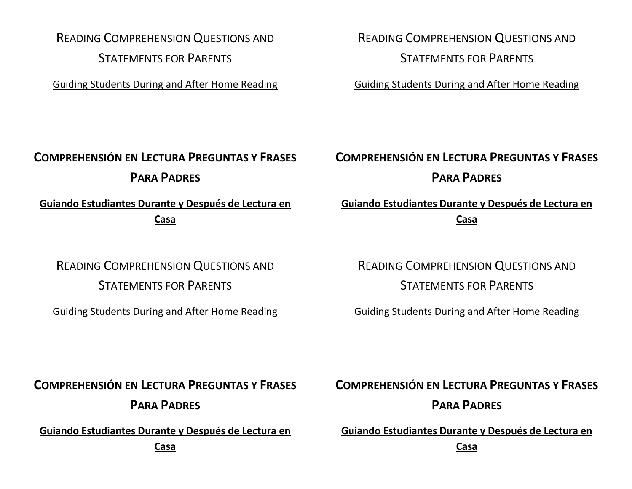READING COMPREHENSION QUESTIONS AND STATEMENTS FOR PARENTS

Guiding Students During and After Home Reading

READING COMPREHENSION QUESTIONS AND STATEMENTS FOR PARENTS

Guiding Students During and After Home Reading

## **COMPREHENSIÓN EN LECTURA PREGUNTAS Y FRASES PARA PADRES**

**Guiando Estudiantes Durante y Después de Lectura en Casa**

## READING COMPREHENSION QUESTIONS AND STATEMENTS FOR PARENTS

Guiding Students During and After Home Reading

## **COMPREHENSIÓN EN LECTURA PREGUNTAS Y FRASES PARA PADRES**

**Guiando Estudiantes Durante y Después de Lectura en Casa**

READING COMPREHENSION QUESTIONS AND STATEMENTS FOR PARENTS

Guiding Students During and After Home Reading

**COMPREHENSIÓN EN LECTURA PREGUNTAS Y FRASES PARA PADRES**

**Guiando Estudiantes Durante y Después de Lectura en** 

**Casa**

## **COMPREHENSIÓN EN LECTURA PREGUNTAS Y FRASES PARA PADRES**

**Guiando Estudiantes Durante y Después de Lectura en** 

**Casa**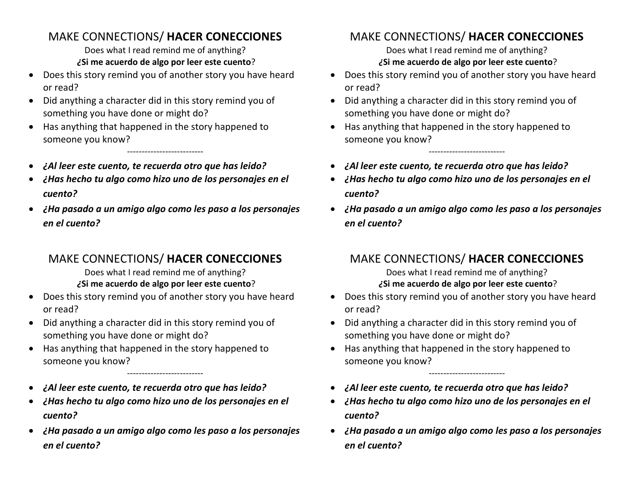## MAKE CONNECTIONS/ **HACER CONECCIONES**

Does what I read remind me of anything? *¿***Si me acuerdo de algo por leer este cuento**?

- Does this story remind you of another story you have heard or read?
- Did anything a character did in this story remind you of something you have done or might do?
- Has anything that happened in the story happened to someone you know?
- *¿Al leer este cuento, te recuerda otro que has leido?*
- *¿Has hecho tu algo como hizo uno de los personajes en el cuento?*

--------------------------

• *¿Ha pasado a un amigo algo como les paso a los personajes en el cuento?*

## MAKE CONNECTIONS/ **HACER CONECCIONES**

Does what I read remind me of anything? *¿***Si me acuerdo de algo por leer este cuento**?

- Does this story remind you of another story you have heard or read?
- Did anything a character did in this story remind you of something you have done or might do?
- Has anything that happened in the story happened to someone you know?
- *¿Al leer este cuento, te recuerda otro que has leido?*
- *¿Has hecho tu algo como hizo uno de los personajes en el cuento?*

--------------------------

• *¿Ha pasado a un amigo algo como les paso a los personajes en el cuento?*

## MAKE CONNECTIONS/ **HACER CONECCIONES**

Does what I read remind me of anything? *¿***Si me acuerdo de algo por leer este cuento**?

- Does this story remind you of another story you have heard or read?
- Did anything a character did in this story remind you of something you have done or might do?
- Has anything that happened in the story happened to someone you know?
- *¿Al leer este cuento, te recuerda otro que has leido?*
- *¿Has hecho tu algo como hizo uno de los personajes en el cuento?*

--------------------------

• *¿Ha pasado a un amigo algo como les paso a los personajes en el cuento?*

## MAKE CONNECTIONS/ **HACER CONECCIONES**

Does what I read remind me of anything? *¿***Si me acuerdo de algo por leer este cuento**?

- Does this story remind you of another story you have heard or read?
- Did anything a character did in this story remind you of something you have done or might do?
- Has anything that happened in the story happened to someone you know?
- *¿Al leer este cuento, te recuerda otro que has leido?*
- *¿Has hecho tu algo como hizo uno de los personajes en el cuento?*

--------------------------

• *¿Ha pasado a un amigo algo como les paso a los personajes en el cuento?*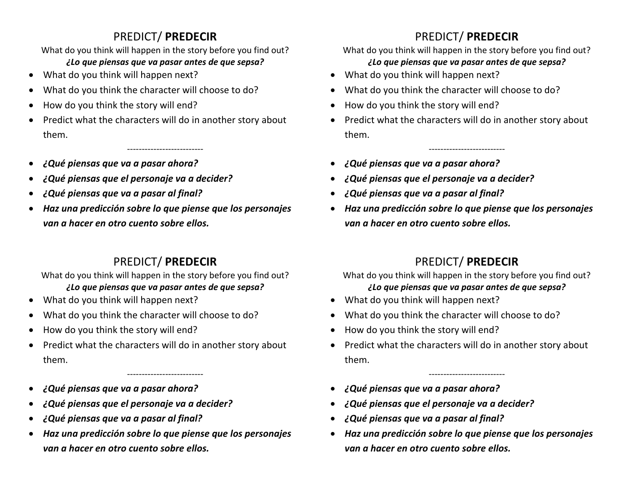## PREDICT/ **PREDECIR**

What do you think will happen in the story before you find out?

#### *¿Lo que piensas que va pasar antes de que sepsa?*

- What do you think will happen next?
- What do you think the character will choose to do?
- How do you think the story will end?
- Predict what the characters will do in another story about them.

--------------------------

- *¿Qué piensas que va a pasar ahora?*
- *¿Qué piensas que el personaje va a decider?*
- *¿Qué piensas que va a pasar al final?*
- *Haz una predicción sobre lo que piense que los personajes van a hacer en otro cuento sobre ellos.*

## PREDICT/ **PREDECIR**

What do you think will happen in the story before you find out? *¿Lo que piensas que va pasar antes de que sepsa?*

- What do you think will happen next?
- What do you think the character will choose to do?
- How do you think the story will end?
- Predict what the characters will do in another story about them.

--------------------------

- *¿Qué piensas que va a pasar ahora?*
- *¿Qué piensas que el personaje va a decider?*
- *¿Qué piensas que va a pasar al final?*
- *Haz una predicción sobre lo que piense que los personajes van a hacer en otro cuento sobre ellos.*

## PREDICT/ **PREDECIR**

What do you think will happen in the story before you find out?

### *¿Lo que piensas que va pasar antes de que sepsa?*

- What do you think will happen next?
- What do you think the character will choose to do?
- How do you think the story will end?
- Predict what the characters will do in another story about them.

--------------------------

- *¿Qué piensas que va a pasar ahora?*
- *¿Qué piensas que el personaje va a decider?*
- *¿Qué piensas que va a pasar al final?*
- *Haz una predicción sobre lo que piense que los personajes van a hacer en otro cuento sobre ellos.*

## PREDICT/ **PREDECIR**

What do you think will happen in the story before you find out? *¿Lo que piensas que va pasar antes de que sepsa?*

- What do you think will happen next?
- What do you think the character will choose to do?
- How do you think the story will end?
- Predict what the characters will do in another story about them.

--------------------------

- *¿Qué piensas que va a pasar ahora?*
- *¿Qué piensas que el personaje va a decider?*
- *¿Qué piensas que va a pasar al final?*
- *Haz una predicción sobre lo que piense que los personajes van a hacer en otro cuento sobre ellos.*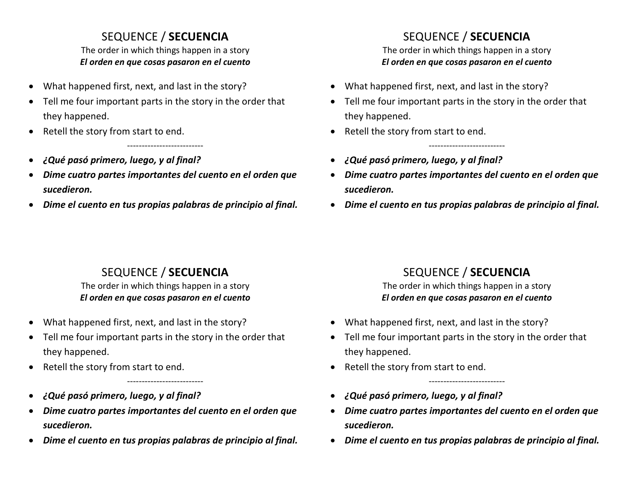## SEQUENCE / **SECUENCIA**

The order in which things happen in a story *El orden en que cosas pasaron en el cuento*

- What happened first, next, and last in the story?
- Tell me four important parts in the story in the order that they happened.
- Retell the story from start to end.
- *¿Qué pasó primero, luego, y al final?*
- *Dime cuatro partes importantes del cuento en el orden que sucedieron.*

--------------------------

• *Dime el cuento en tus propias palabras de principio al final.*

## SEQUENCE / **SECUENCIA**

The order in which things happen in a story *El orden en que cosas pasaron en el cuento*

- What happened first, next, and last in the story?
- Tell me four important parts in the story in the order that they happened.
- Retell the story from start to end.
- *¿Qué pasó primero, luego, y al final?*
- *Dime cuatro partes importantes del cuento en el orden que sucedieron.*

--------------------------

• *Dime el cuento en tus propias palabras de principio al final.*

## SEQUENCE / **SECUENCIA**

The order in which things happen in a story *El orden en que cosas pasaron en el cuento*

- What happened first, next, and last in the story?
- Tell me four important parts in the story in the order that they happened.
- Retell the story from start to end.
- *¿Qué pasó primero, luego, y al final?*
- *Dime cuatro partes importantes del cuento en el orden que sucedieron.*

--------------------------

• *Dime el cuento en tus propias palabras de principio al final.*

## SEQUENCE / **SECUENCIA**

The order in which things happen in a story *El orden en que cosas pasaron en el cuento*

- What happened first, next, and last in the story?
- Tell me four important parts in the story in the order that they happened.
- Retell the story from start to end.
- *¿Qué pasó primero, luego, y al final?*
- *Dime cuatro partes importantes del cuento en el orden que sucedieron.*

--------------------------

• *Dime el cuento en tus propias palabras de principio al final.*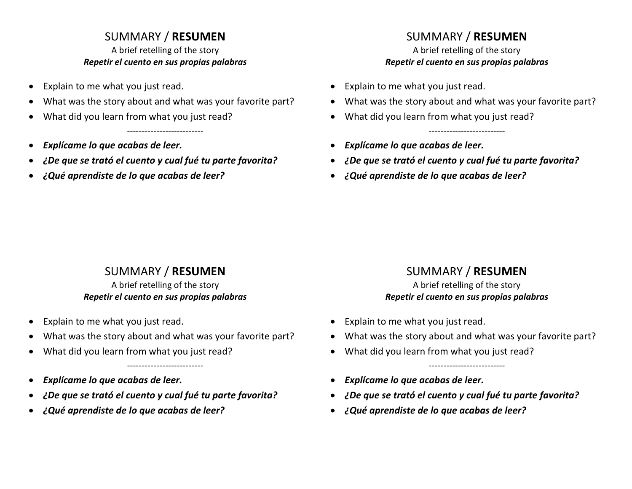### SUMMARY / **RESUMEN**

A brief retelling of the story *Repetir el cuento en sus propias palabras*

- Explain to me what you just read.
- What was the story about and what was your favorite part?

--------------------------

- What did you learn from what you just read?
- *Explícame lo que acabas de leer.*
- *¿De que se trató el cuento y cual fué tu parte favorita?*
- *¿Qué aprendiste de lo que acabas de leer?*

## SUMMARY / **RESUMEN**

A brief retelling of the story *Repetir el cuento en sus propias palabras*

- Explain to me what you just read.
- What was the story about and what was your favorite part?

--------------------------

- What did you learn from what you just read?
- *Explícame lo que acabas de leer.*
- *¿De que se trató el cuento y cual fué tu parte favorita?*
- *¿Qué aprendiste de lo que acabas de leer?*

## SUMMARY / **RESUMEN**

#### A brief retelling of the story *Repetir el cuento en sus propias palabras*

- Explain to me what you just read.
- What was the story about and what was your favorite part?

--------------------------

- What did you learn from what you just read?
- *Explícame lo que acabas de leer.*
- *¿De que se trató el cuento y cual fué tu parte favorita?*
- *¿Qué aprendiste de lo que acabas de leer?*

## SUMMARY / **RESUMEN**

A brief retelling of the story *Repetir el cuento en sus propias palabras*

- Explain to me what you just read.
- What was the story about and what was your favorite part?

--------------------------

- What did you learn from what you just read?
- *Explícame lo que acabas de leer.*
- *¿De que se trató el cuento y cual fué tu parte favorita?*
- *¿Qué aprendiste de lo que acabas de leer?*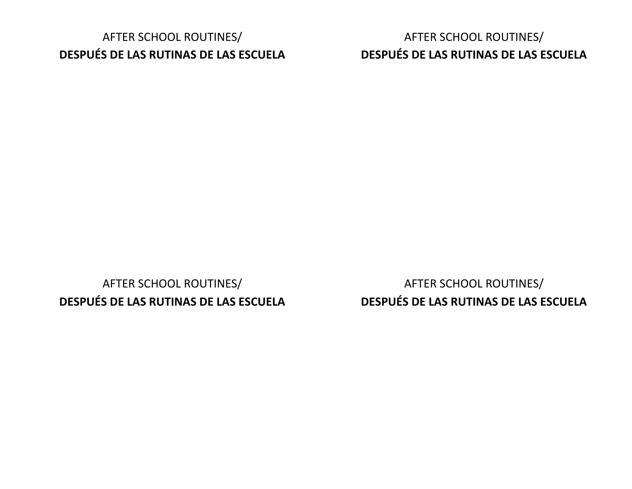## AFTER SCHOOL ROUTINES/ **DESPUÉS DE LAS RUTINAS DE LAS ESCUELA**

AFTER SCHOOL ROUTINES/ **DESPUÉS DE LAS RUTINAS DE LAS ESCUELA**

AFTER SCHOOL ROUTINES/ **DESPUÉS DE LAS RUTINAS DE LAS ESCUELA**

AFTER SCHOOL ROUTINES/ **DESPUÉS DE LAS RUTINAS DE LAS ESCUELA**